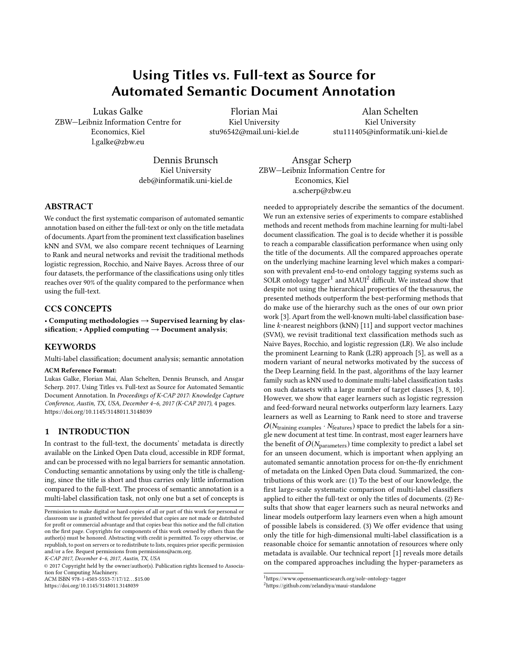# Using Titles vs. Full-text as Source for Automated Semantic Document Annotation

Lukas Galke ZBW—Leibniz Information Centre for Economics, Kiel l.galke@zbw.eu

Florian Mai Kiel University stu96542@mail.uni-kiel.de

Alan Schelten Kiel University stu111405@informatik.uni-kiel.de

Dennis Brunsch Kiel University deb@informatik.uni-kiel.de

Ansgar Scherp ZBW—Leibniz Information Centre for Economics, Kiel a.scherp@zbw.eu

## ABSTRACT

We conduct the first systematic comparison of automated semantic annotation based on either the full-text or only on the title metadata of documents. Apart from the prominent text classification baselines kNN and SVM, we also compare recent techniques of Learning to Rank and neural networks and revisit the traditional methods logistic regression, Rocchio, and Naive Bayes. Across three of our four datasets, the performance of the classifications using only titles reaches over 90% of the quality compared to the performance when using the full-text.

#### CCS CONCEPTS

• Computing methodologies  $\rightarrow$  Supervised learning by classification;  $\cdot$  Applied computing  $\rightarrow$  Document analysis;

## **KEYWORDS**

Multi-label classification; document analysis; semantic annotation

#### ACM Reference Format:

Lukas Galke, Florian Mai, Alan Schelten, Dennis Brunsch, and Ansgar Scherp. 2017. Using Titles vs. Full-text as Source for Automated Semantic Document Annotation. In Proceedings of K-CAP 2017: Knowledge Capture Conference, Austin, TX, USA, December 4–6, 2017 (K-CAP 2017), [4](#page-3-0) pages. <https://doi.org/10.1145/3148011.3148039>

#### 1 INTRODUCTION

In contrast to the full-text, the documents' metadata is directly available on the Linked Open Data cloud, accessible in RDF format, and can be processed with no legal barriers for semantic annotation. Conducting semantic annotations by using only the title is challenging, since the title is short and thus carries only little information compared to the full-text. The process of semantic annotation is a multi-label classification task, not only one but a set of concepts is

© 2017 Copyright held by the owner/author(s). Publication rights licensed to Association for Computing Machinery. ACM ISBN 978-1-4503-5553-7/17/12. . . \$15.00

<https://doi.org/10.1145/3148011.3148039>

needed to appropriately describe the semantics of the document. We run an extensive series of experiments to compare established methods and recent methods from machine learning for multi-label document classification. The goal is to decide whether it is possible to reach a comparable classification performance when using only the title of the documents. All the compared approaches operate on the underlying machine learning level which makes a comparison with prevalent end-to-end ontology tagging systems such as SOLR ontology tagger<sup>[1](#page-0-0)</sup> and MAUI<sup>[2](#page-0-1)</sup> difficult. We instead show that despite not using the hierarchical properties of the thesaurus, the presented methods outperform the best-performing methods that do make use of the hierarchy such as the ones of our own prior work [\[3\]](#page-3-1). Apart from the well-known multi-label classification baseline k-nearest neighbors (kNN) [\[11\]](#page-3-2) and support vector machines (SVM), we revisit traditional text classification methods such as Naive Bayes, Rocchio, and logistic regression (LR). We also include the prominent Learning to Rank (L2R) approach [\[5\]](#page-3-3), as well as a modern variant of neural networks motivated by the success of the Deep Learning field. In the past, algorithms of the lazy learner family such as kNN used to dominate multi-label classification tasks on such datasets with a large number of target classes [\[3,](#page-3-1) [8,](#page-3-4) [10\]](#page-3-5). However, we show that eager learners such as logistic regression and feed-forward neural networks outperform lazy learners. Lazy learners as well as Learning to Rank need to store and traverse  $O(N_{\text{training examples}} \cdot N_{\text{features}})$  space to predict the labels for a single new document at test time. In contrast, most eager learners have the benefit of  $O(N_{\text{parameters}})$  time complexity to predict a label set for an unseen document, which is important when applying an automated semantic annotation process for on-the-fly enrichment of metadata on the Linked Open Data cloud. Summarized, the contributions of this work are: (1) To the best of our knowledge, the first large-scale systematic comparison of multi-label classifiers applied to either the full-text or only the titles of documents. (2) Results that show that eager learners such as neural networks and linear models outperform lazy learners even when a high amount of possible labels is considered. (3) We offer evidence that using only the title for high-dimensional multi-label classification is a reasonable choice for semantic annotation of resources where only metadata is available. Our technical report [\[1\]](#page-3-6) reveals more details on the compared approaches including the hyper-parameters as

Permission to make digital or hard copies of all or part of this work for personal or classroom use is granted without fee provided that copies are not made or distributed for profit or commercial advantage and that copies bear this notice and the full citation on the first page. Copyrights for components of this work owned by others than the author(s) must be honored. Abstracting with credit is permitted. To copy otherwise, or republish, to post on servers or to redistribute to lists, requires prior specific permission and/or a fee. Request permissions from permissions@acm.org.

K-CAP 2017, December 4–6, 2017, Austin, TX, USA

<span id="page-0-0"></span> $^1$ <https://www.opensemanticsearch.org/solr-ontology-tagger>

<span id="page-0-1"></span><sup>2</sup><https://github.com/zelandiya/maui-standalone>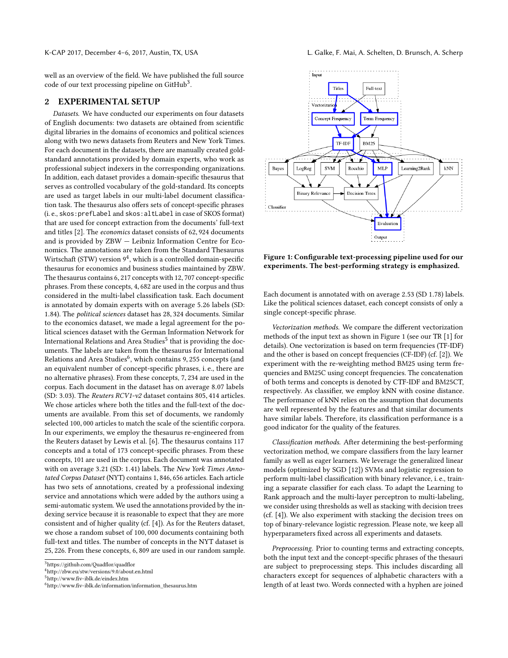well as an overview of the field. We have published the full source code of our text processing pipeline on GitHub<sup>[3](#page-1-0)</sup>.

## 2 EXPERIMENTAL SETUP

Datasets. We have conducted our experiments on four datasets of English documents: two datasets are obtained from scientific digital libraries in the domains of economics and political sciences along with two news datasets from Reuters and New York Times. For each document in the datasets, there are manually created goldstandard annotations provided by domain experts, who work as professional subject indexers in the corresponding organizations. In addition, each dataset provides a domain-specific thesaurus that serves as controlled vocabulary of the gold-standard. Its concepts are used as target labels in our multi-label document classification task. The thesaurus also offers sets of concept-specific phrases (i. e., skos:prefLabel and skos:altLabel in case of SKOS format) that are used for concept extraction from the documents' full-text and titles [\[2\]](#page-3-7). The economics dataset consists of <sup>62</sup>, <sup>924</sup> documents and is provided by ZBW — Leibniz Information Centre for Economics. The annotations are taken from the Standard Thesaurus Wirtschaft (STW) version  $9^4$  $9^4$ , which is a controlled domain-specific thesaurus for economics and business studies maintained by ZBW. The thesaurus contains <sup>6</sup>, <sup>217</sup> concepts with <sup>12</sup>, <sup>707</sup> concept-specific phrases. From these concepts, <sup>4</sup>, <sup>682</sup> are used in the corpus and thus considered in the multi-label classification task. Each document is annotated by domain experts with on average <sup>5</sup>.<sup>26</sup> labels (SD: <sup>1</sup>.84). The political sciences dataset has <sup>28</sup>, <sup>324</sup> documents. Similar to the economics dataset, we made a legal agreement for the political sciences dataset with the German Information Network for International Relations and Area Studies $^5$  $^5$  that is providing the documents. The labels are taken from the thesaurus for International Relations and Area Studies<sup>[6](#page-1-3)</sup>, which contains 9, 255 concepts (and<br>an equivalent number of concept-specific phrases, i.e., there are an equivalent number of concept-specific phrases, i. e., there are no alternative phrases). From these concepts, <sup>7</sup>, <sup>234</sup> are used in the corpus. Each document in the dataset has on average <sup>8</sup>.<sup>07</sup> labels (SD: <sup>3</sup>.03). The Reuters RCV1-v2 dataset contains <sup>805</sup>, <sup>414</sup> articles. We chose articles where both the titles and the full-text of the documents are available. From this set of documents, we randomly selected <sup>100</sup>, <sup>000</sup> articles to match the scale of the scientific corpora. In our experiments, we employ the thesaurus re-engineered from the Reuters dataset by Lewis et al. [\[6\]](#page-3-8). The thesaurus contains 117 concepts and a total of 173 concept-specific phrases. From these concepts, 101 are used in the corpus. Each document was annotated with on average <sup>3</sup>.<sup>21</sup> (SD: <sup>1</sup>.41) labels. The New York Times Annotated Corpus Dataset (NYT) contains <sup>1</sup>, <sup>846</sup>, <sup>656</sup> articles. Each article has two sets of annotations, created by a professional indexing service and annotations which were added by the authors using a semi-automatic system. We used the annotations provided by the indexing service because it is reasonable to expect that they are more consistent and of higher quality (cf. [\[4\]](#page-3-9)). As for the Reuters dataset, we chose a random subset of <sup>100</sup>, <sup>000</sup> documents containing both full-text and titles. The number of concepts in the NYT dataset is <sup>25</sup>, 226. From these concepts, <sup>6</sup>, <sup>809</sup> are used in our random sample.

<span id="page-1-2"></span><sup>5</sup><http://www.fiv-iblk.de/eindex.htm>

<span id="page-1-4"></span>

Figure 1: Configurable text-processing pipeline used for our experiments. The best-performing strategy is emphasized.

Each document is annotated with on average <sup>2</sup>.<sup>53</sup> (SD <sup>1</sup>.78) labels. Like the political sciences dataset, each concept consists of only a single concept-specific phrase.

Vectorization methods. We compare the different vectorization methods of the input text as shown in Figure [1](#page-1-4) (see our TR [\[1\]](#page-3-6) for details). One vectorization is based on term frequencies (TF-IDF) and the other is based on concept frequencies (CF-IDF) (cf. [\[2\]](#page-3-7)). We experiment with the re-weighting method BM25 using term frequencies and BM25C using concept frequencies. The concatenation of both terms and concepts is denoted by CTF-IDF and BM25CT, respectively. As classifier, we employ kNN with cosine distance. The performance of kNN relies on the assumption that documents are well represented by the features and that similar documents have similar labels. Therefore, its classification performance is a good indicator for the quality of the features.

Classification methods. After determining the best-performing vectorization method, we compare classifiers from the lazy learner family as well as eager learners. We leverage the generalized linear models (optimized by SGD [\[12\]](#page-3-10)) SVMs and logistic regression to perform multi-label classification with binary relevance, i. e., training a separate classifier for each class. To adapt the Learning to Rank approach and the multi-layer perceptron to multi-labeling, we consider using thresholds as well as stacking with decision trees (cf. [\[4\]](#page-3-9)). We also experiment with stacking the decision trees on top of binary-relevance logistic regression. Please note, we keep all hyperparameters fixed across all experiments and datasets.

Preprocessing. Prior to counting terms and extracting concepts, both the input text and the concept-specific phrases of the thesauri are subject to preprocessing steps. This includes discarding all characters except for sequences of alphabetic characters with a length of at least two. Words connected with a hyphen are joined

<span id="page-1-0"></span><sup>3</sup><https://github.com/Quadflor/quadflor>

<span id="page-1-1"></span><sup>4</sup><http://zbw.eu/stw/versions/9.0/about.en.html>

<span id="page-1-3"></span> $6$ [http://www.fiv-iblk.de/information/information\\_thesaurus.htm](http://www.fiv-iblk.de/information/information_thesaurus.htm)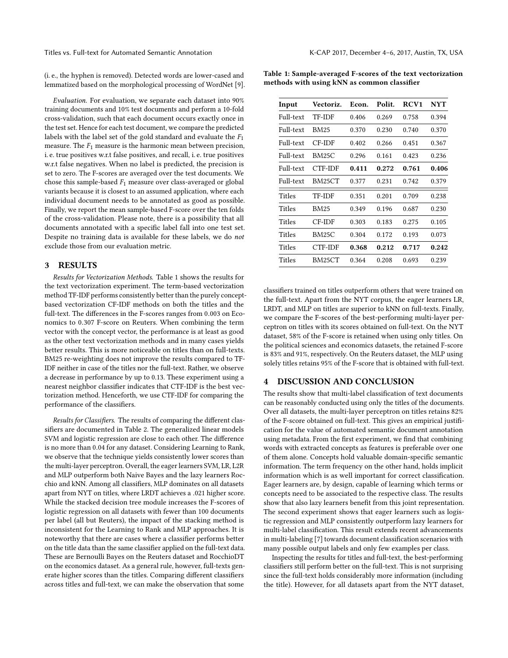Titles vs. Full-text for Automated Semantic Annotation K-CAP 2017, December 4–6, 2017, Austin, TX, USA

(i. e., the hyphen is removed). Detected words are lower-cased and lemmatized based on the morphological processing of WordNet [\[9\]](#page-3-11).

Evaluation. For evaluation, we separate each dataset into 90% training documents and 10% test documents and perform a 10-fold cross-validation, such that each document occurs exactly once in the test set. Hence for each test document, we compare the predicted labels with the label set of the gold standard and evaluate the  $F_1$ measure. The  $F_1$  measure is the harmonic mean between precision, i. e. true positives w.r.t false positives, and recall, i. e. true positives w.r.t false negatives. When no label is predicted, the precision is set to zero. The F-scores are averaged over the test documents. We chose this sample-based  $F_1$  measure over class-averaged or global variants because it is closest to an assumed application, where each individual document needs to be annotated as good as possible. Finally, we report the mean sample-based F-score over the ten folds of the cross-validation. Please note, there is a possibility that all documents annotated with a specific label fall into one test set. Despite no training data is available for these labels, we do not exclude those from our evaluation metric.

#### 3 RESULTS

Results for Vectorization Methods. Table [1](#page-2-0) shows the results for the text vectorization experiment. The term-based vectorization method TF-IDF performs consistently better than the purely conceptbased vectorization CF-IDF methods on both the titles and the full-text. The differences in the F-scores ranges from <sup>0</sup>.<sup>003</sup> on Economics to <sup>0</sup>.<sup>307</sup> F-score on Reuters. When combining the term vector with the concept vector, the performance is at least as good as the other text vectorization methods and in many cases yields better results. This is more noticeable on titles than on full-texts. BM25 re-weighting does not improve the results compared to TF-IDF neither in case of the titles nor the full-text. Rather, we observe a decrease in performance by up to 0.13. These experiment using a nearest neighbor classifier indicates that CTF-IDF is the best vectorization method. Henceforth, we use CTF-IDF for comparing the performance of the classifiers.

Results for Classifiers. The results of comparing the different classifiers are documented in Table [2.](#page-3-12) The generalized linear models SVM and logistic regression are close to each other. The difference is no more than <sup>0</sup>.<sup>04</sup> for any dataset. Considering Learning to Rank, we observe that the technique yields consistently lower scores than the multi-layer perceptron. Overall, the eager learners SVM, LR, L2R and MLP outperform both Naive Bayes and the lazy learners Rocchio and kNN. Among all classifiers, MLP dominates on all datasets apart from NYT on titles, where LRDT achieves a .<sup>021</sup> higher score. While the stacked decision tree module increases the F-scores of logistic regression on all datasets with fewer than 100 documents per label (all but Reuters), the impact of the stacking method is inconsistent for the Learning to Rank and MLP approaches. It is noteworthy that there are cases where a classifier performs better on the title data than the same classifier applied on the full-text data. These are Bernoulli Bayes on the Reuters dataset and RocchioDT on the economics dataset. As a general rule, however, full-texts generate higher scores than the titles. Comparing different classifiers across titles and full-text, we can make the observation that some

<span id="page-2-0"></span>Table 1: Sample-averaged F-scores of the text vectorization methods with using kNN as common classifier

| Input     | <b>Vectoriz.</b> | Econ. | Polit. | RCV <sub>1</sub> | <b>NYT</b> |
|-----------|------------------|-------|--------|------------------|------------|
| Full-text | <b>TF-IDF</b>    | 0.406 | 0.269  | 0.758            | 0.394      |
| Full-text | BM25             | 0.370 | 0.230  | 0.740            | 0.370      |
| Full-text | CF-IDF           | 0.402 | 0.266  | 0.451            | 0.367      |
| Full-text | <b>BM25C</b>     | 0.296 | 0.161  | 0.423            | 0.236      |
| Full-text | CTF-IDF          | 0.411 | 0.272  | 0.761            | 0.406      |
| Full-text | BM25CT           | 0.377 | 0.231  | 0.742            | 0.379      |
| Titles    | <b>TF-IDF</b>    | 0.351 | 0.201  | 0.709            | 0.238      |
| Titles    | <b>BM25</b>      | 0.349 | 0.196  | 0.687            | 0.230      |
| Titles    | CF-IDF           | 0.303 | 0.183  | 0.275            | 0.105      |
| Titles    | <b>BM25C</b>     | 0.304 | 0.172  | 0.193            | 0.073      |
| Titles    | CTF-IDF          | 0.368 | 0.212  | 0.717            | 0.242      |
| Titles    | BM25CT           | 0.364 | 0.208  | 0.693            | 0.239      |

classifiers trained on titles outperform others that were trained on the full-text. Apart from the NYT corpus, the eager learners LR, LRDT, and MLP on titles are superior to kNN on full-texts. Finally, we compare the F-scores of the best-performing multi-layer perceptron on titles with its scores obtained on full-text. On the NYT dataset, 58% of the F-score is retained when using only titles. On the political sciences and economics datasets, the retained F-score is 83% and 91%, respectively. On the Reuters dataset, the MLP using solely titles retains 95% of the F-score that is obtained with full-text.

### 4 DISCUSSION AND CONCLUSION

The results show that multi-label classification of text documents can be reasonably conducted using only the titles of the documents. Over all datasets, the multi-layer perceptron on titles retains 82% of the F-score obtained on full-text. This gives an empirical justification for the value of automated semantic document annotation using metadata. From the first experiment, we find that combining words with extracted concepts as features is preferable over one of them alone. Concepts hold valuable domain-specific semantic information. The term frequency on the other hand, holds implicit information which is as well important for correct classification. Eager learners are, by design, capable of learning which terms or concepts need to be associated to the respective class. The results show that also lazy learners benefit from this joint representation. The second experiment shows that eager learners such as logistic regression and MLP consistently outperform lazy learners for multi-label classification. This result extends recent advancements in multi-labeling [\[7\]](#page-3-13) towards document classification scenarios with many possible output labels and only few examples per class.

Inspecting the results for titles and full-text, the best-performing classifiers still perform better on the full-text. This is not surprising since the full-text holds considerably more information (including the title). However, for all datasets apart from the NYT dataset,